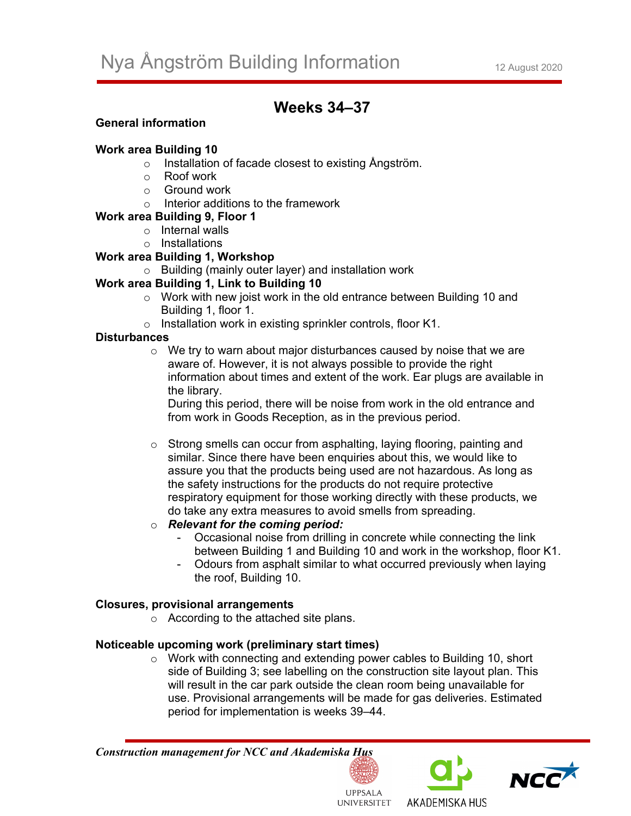# **Weeks 34–37**

## **General information**

#### **Work area Building 10**

- o Installation of facade closest to existing Ångström.
- o Roof work
- o Ground work
- o Interior additions to the framework
- **Work area Building 9, Floor 1** 
	- o Internal walls
	- o Installations

## **Work area Building 1, Workshop**

o Building (mainly outer layer) and installation work

# **Work area Building 1, Link to Building 10**

- o Work with new joist work in the old entrance between Building 10 and Building 1, floor 1.
- o Installation work in existing sprinkler controls, floor K1.

#### **Disturbances**

 $\circ$  We try to warn about major disturbances caused by noise that we are aware of. However, it is not always possible to provide the right information about times and extent of the work. Ear plugs are available in the library.

During this period, there will be noise from work in the old entrance and from work in Goods Reception, as in the previous period.

o Strong smells can occur from asphalting, laying flooring, painting and similar. Since there have been enquiries about this, we would like to assure you that the products being used are not hazardous. As long as the safety instructions for the products do not require protective respiratory equipment for those working directly with these products, we do take any extra measures to avoid smells from spreading.

#### o *Relevant for the coming period:*

- Occasional noise from drilling in concrete while connecting the link between Building 1 and Building 10 and work in the workshop, floor K1.
- Odours from asphalt similar to what occurred previously when laying the roof, Building 10.

#### **Closures, provisional arrangements**

o According to the attached site plans.

# **Noticeable upcoming work (preliminary start times)**

o Work with connecting and extending power cables to Building 10, short side of Building 3; see labelling on the construction site layout plan. This will result in the car park outside the clean room being unavailable for use. Provisional arrangements will be made for gas deliveries. Estimated period for implementation is weeks 39–44.

#### *Construction management for NCC and Akademiska Hus*







**LIPPSALA UNIVERSITET**